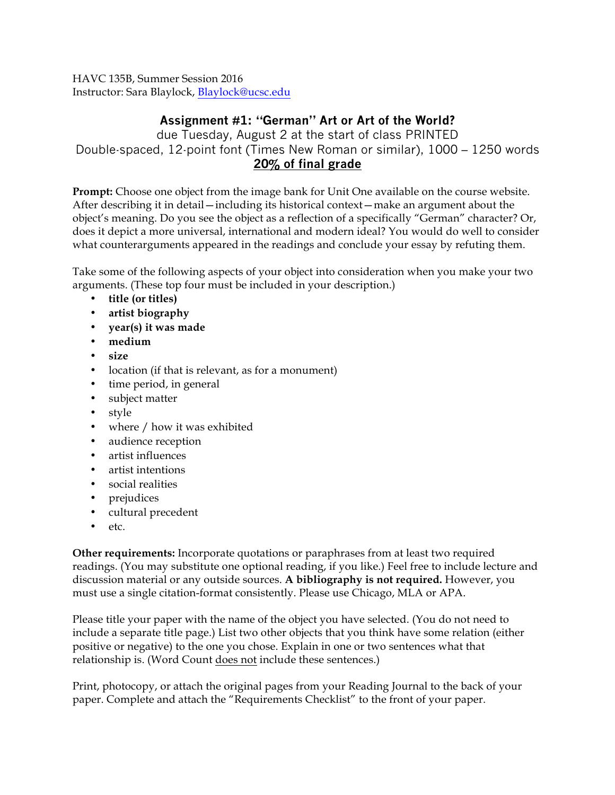HAVC 135B, Summer Session 2016 Instructor: Sara Blaylock, Blaylock@ucsc.edu

## **Assignment #1: "German" Art or Art of the World?**

due Tuesday, August 2 at the start of class PRINTED Double-spaced, 12-point font (Times New Roman or similar), 1000 – 1250 words **20% of final grade**

**Prompt:** Choose one object from the image bank for Unit One available on the course website. After describing it in detail—including its historical context—make an argument about the object's meaning. Do you see the object as a reflection of a specifically "German" character? Or, does it depict a more universal, international and modern ideal? You would do well to consider what counterarguments appeared in the readings and conclude your essay by refuting them.

Take some of the following aspects of your object into consideration when you make your two arguments. (These top four must be included in your description.)

- **title (or titles)**
- **artist biography**
- **year(s) it was made**
- **medium**
- **size**
- location (if that is relevant, as for a monument)
- time period, in general
- subject matter
- style
- where / how it was exhibited
- audience reception
- artist influences
- artist intentions
- social realities
- prejudices
- cultural precedent
- etc.

**Other requirements:** Incorporate quotations or paraphrases from at least two required readings. (You may substitute one optional reading, if you like.) Feel free to include lecture and discussion material or any outside sources. **A bibliography is not required.** However, you must use a single citation-format consistently. Please use Chicago, MLA or APA.

Please title your paper with the name of the object you have selected. (You do not need to include a separate title page.) List two other objects that you think have some relation (either positive or negative) to the one you chose. Explain in one or two sentences what that relationship is. (Word Count does not include these sentences.)

Print, photocopy, or attach the original pages from your Reading Journal to the back of your paper. Complete and attach the "Requirements Checklist" to the front of your paper.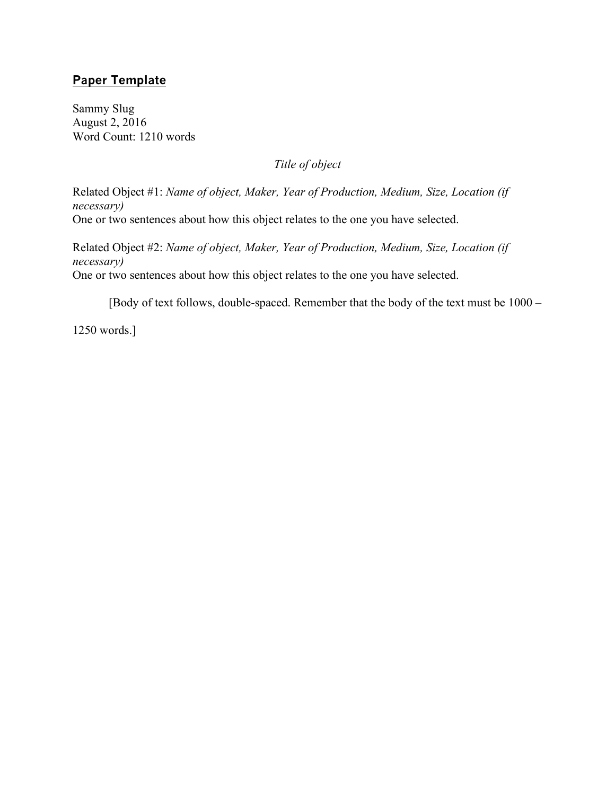## **Paper Template**

Sammy Slug August 2, 2016 Word Count: 1210 words

*Title of object*

Related Object #1: *Name of object, Maker, Year of Production, Medium, Size, Location (if necessary)* One or two sentences about how this object relates to the one you have selected.

Related Object #2: *Name of object, Maker, Year of Production, Medium, Size, Location (if necessary)* One or two sentences about how this object relates to the one you have selected.

[Body of text follows, double-spaced. Remember that the body of the text must be 1000 –

1250 words.]